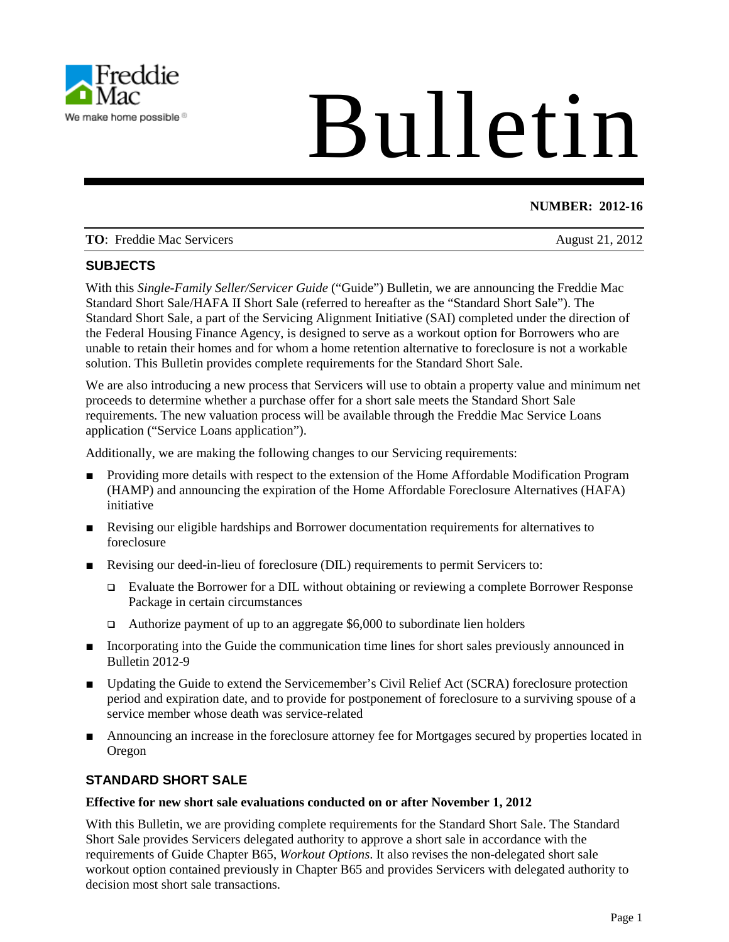

# Bulletin

# **NUMBER: 2012-16**

| <b>TO:</b> Freddie Mac Servicers | August 21, 2012 |  |
|----------------------------------|-----------------|--|
|                                  |                 |  |

# **SUBJECTS**

With this *Single-Family Seller/Servicer Guide* ("Guide") Bulletin, we are announcing the Freddie Mac Standard Short Sale/HAFA II Short Sale (referred to hereafter as the "Standard Short Sale"). The Standard Short Sale, a part of the Servicing Alignment Initiative (SAI) completed under the direction of the Federal Housing Finance Agency, is designed to serve as a workout option for Borrowers who are unable to retain their homes and for whom a home retention alternative to foreclosure is not a workable solution. This Bulletin provides complete requirements for the Standard Short Sale.

We are also introducing a new process that Servicers will use to obtain a property value and minimum net proceeds to determine whether a purchase offer for a short sale meets the Standard Short Sale requirements. The new valuation process will be available through the Freddie Mac Service Loans application ("Service Loans application").

Additionally, we are making the following changes to our Servicing requirements:

- Providing more details with respect to the extension of the Home Affordable Modification Program (HAMP) and announcing the expiration of the Home Affordable Foreclosure Alternatives (HAFA) initiative
- Revising our eligible hardships and Borrower documentation requirements for alternatives to foreclosure
- Revising our deed-in-lieu of foreclosure (DIL) requirements to permit Servicers to:
	- Evaluate the Borrower for a DIL without obtaining or reviewing a complete Borrower Response Package in certain circumstances
	- $\Box$  Authorize payment of up to an aggregate \$6,000 to subordinate lien holders
- Incorporating into the Guide the communication time lines for short sales previously announced in Bulletin 2012-9
- Updating the Guide to extend the Servicemember's Civil Relief Act (SCRA) foreclosure protection period and expiration date, and to provide for postponement of foreclosure to a surviving spouse of a service member whose death was service-related
- Announcing an increase in the foreclosure attorney fee for Mortgages secured by properties located in Oregon

# **STANDARD SHORT SALE**

#### **Effective for new short sale evaluations conducted on or after November 1, 2012**

With this Bulletin, we are providing complete requirements for the Standard Short Sale. The Standard Short Sale provides Servicers delegated authority to approve a short sale in accordance with the requirements of Guide Chapter B65, *Workout Options*. It also revises the non-delegated short sale workout option contained previously in Chapter B65 and provides Servicers with delegated authority to decision most short sale transactions.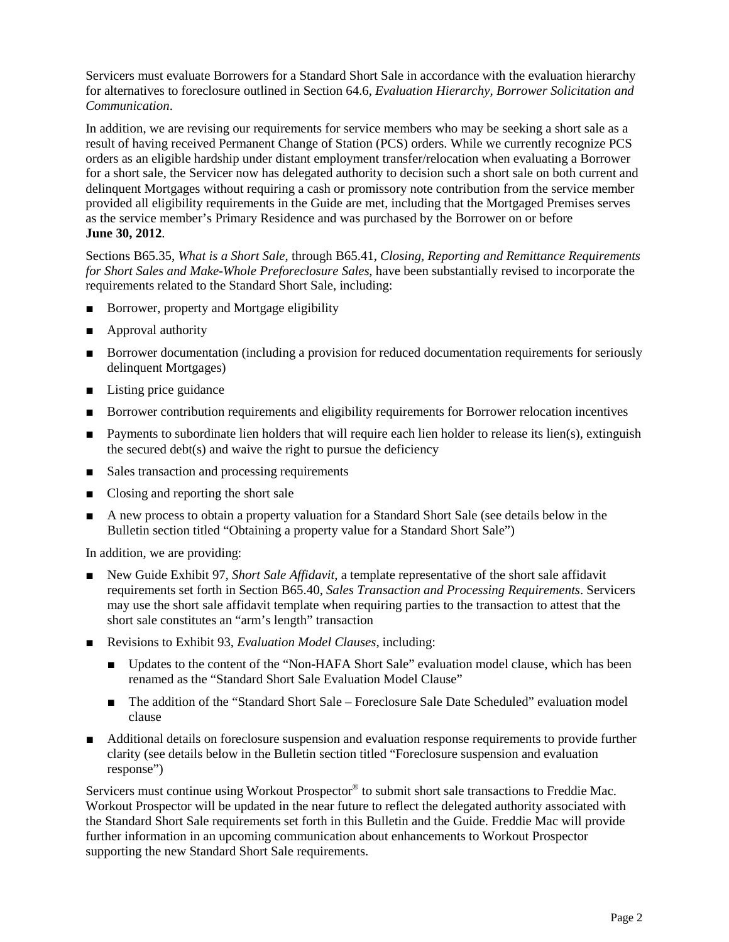Servicers must evaluate Borrowers for a Standard Short Sale in accordance with the evaluation hierarchy for alternatives to foreclosure outlined in Section 64.6, *Evaluation Hierarchy, Borrower Solicitation and Communication*.

In addition, we are revising our requirements for service members who may be seeking a short sale as a result of having received Permanent Change of Station (PCS) orders. While we currently recognize PCS orders as an eligible hardship under distant employment transfer/relocation when evaluating a Borrower for a short sale, the Servicer now has delegated authority to decision such a short sale on both current and delinquent Mortgages without requiring a cash or promissory note contribution from the service member provided all eligibility requirements in the Guide are met, including that the Mortgaged Premises serves as the service member's Primary Residence and was purchased by the Borrower on or before **June 30, 2012**.

Sections B65.35, *What is a Short Sale*, through B65.41, *Closing, Reporting and Remittance Requirements for Short Sales and Make-Whole Preforeclosure Sales*, have been substantially revised to incorporate the requirements related to the Standard Short Sale, including:

- Borrower, property and Mortgage eligibility
- Approval authority
- Borrower documentation (including a provision for reduced documentation requirements for seriously delinquent Mortgages)
- Listing price guidance
- Borrower contribution requirements and eligibility requirements for Borrower relocation incentives
- Payments to subordinate lien holders that will require each lien holder to release its lien(s), extinguish the secured debt(s) and waive the right to pursue the deficiency
- Sales transaction and processing requirements
- Closing and reporting the short sale
- A new process to obtain a property valuation for a Standard Short Sale (see details below in the Bulletin section titled "Obtaining a property value for a Standard Short Sale")

In addition, we are providing:

- New Guide Exhibit 97, *Short Sale Affidavit*, a template representative of the short sale affidavit requirements set forth in Section B65.40, *Sales Transaction and Processing Requirements*. Servicers may use the short sale affidavit template when requiring parties to the transaction to attest that the short sale constitutes an "arm's length" transaction
- Revisions to Exhibit 93, *Evaluation Model Clauses*, including:
	- Updates to the content of the "Non-HAFA Short Sale" evaluation model clause, which has been renamed as the "Standard Short Sale Evaluation Model Clause"
	- The addition of the "Standard Short Sale Foreclosure Sale Date Scheduled" evaluation model clause
- Additional details on foreclosure suspension and evaluation response requirements to provide further clarity (see details below in the Bulletin section titled "Foreclosure suspension and evaluation response")

Servicers must continue using Workout Prospector<sup>®</sup> to submit short sale transactions to Freddie Mac. Workout Prospector will be updated in the near future to reflect the delegated authority associated with the Standard Short Sale requirements set forth in this Bulletin and the Guide. Freddie Mac will provide further information in an upcoming communication about enhancements to Workout Prospector supporting the new Standard Short Sale requirements.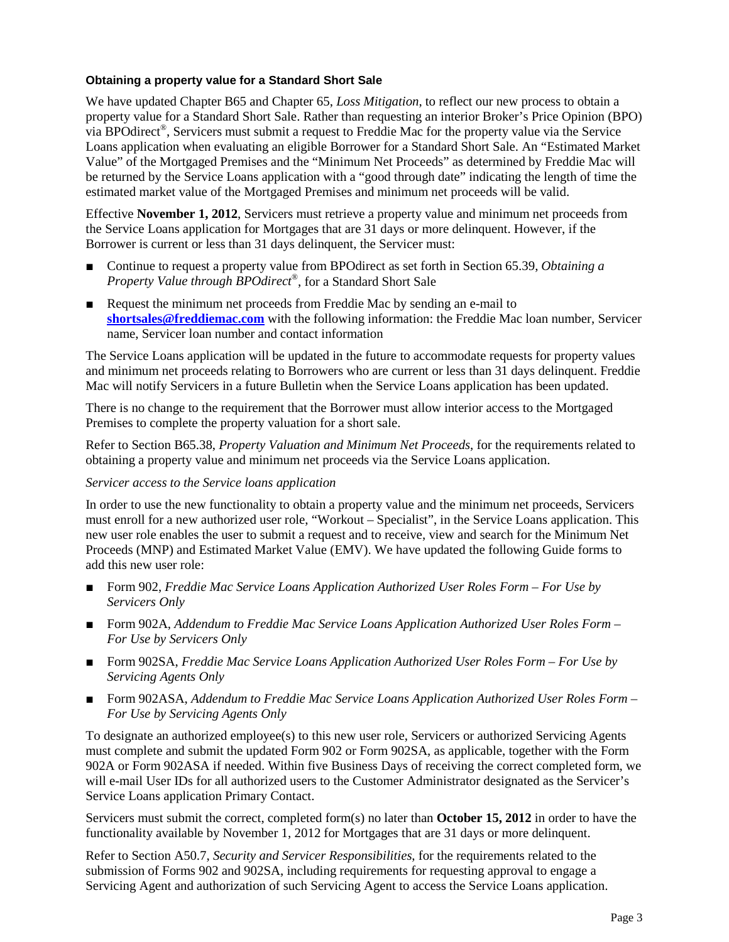#### **Obtaining a property value for a Standard Short Sale**

We have updated Chapter B65 and Chapter 65, *Loss Mitigation*, to reflect our new process to obtain a property value for a Standard Short Sale. Rather than requesting an interior Broker's Price Opinion (BPO) via BPOdirect®, Servicers must submit a request to Freddie Mac for the property value via the Service Loans application when evaluating an eligible Borrower for a Standard Short Sale. An "Estimated Market Value" of the Mortgaged Premises and the "Minimum Net Proceeds" as determined by Freddie Mac will be returned by the Service Loans application with a "good through date" indicating the length of time the estimated market value of the Mortgaged Premises and minimum net proceeds will be valid.

Effective **November 1, 2012**, Servicers must retrieve a property value and minimum net proceeds from the Service Loans application for Mortgages that are 31 days or more delinquent. However, if the Borrower is current or less than 31 days delinquent, the Servicer must:

- Continue to request a property value from BPOdirect as set forth in Section 65.39, *Obtaining a Property Value through BPOdirect ®*, for a Standard Short Sale
- Request the minimum net proceeds from Freddie Mac by sending an e-mail to **[shortsales@freddiemac.com](mailto:shortsales@freddiemac.com)** with the following information: the Freddie Mac loan number, Servicer name, Servicer loan number and contact information

The Service Loans application will be updated in the future to accommodate requests for property values and minimum net proceeds relating to Borrowers who are current or less than 31 days delinquent. Freddie Mac will notify Servicers in a future Bulletin when the Service Loans application has been updated.

There is no change to the requirement that the Borrower must allow interior access to the Mortgaged Premises to complete the property valuation for a short sale.

Refer to Section B65.38, *Property Valuation and Minimum Net Proceeds*, for the requirements related to obtaining a property value and minimum net proceeds via the Service Loans application.

#### *Servicer access to the Service loans application*

In order to use the new functionality to obtain a property value and the minimum net proceeds, Servicers must enroll for a new authorized user role, "Workout – Specialist", in the Service Loans application. This new user role enables the user to submit a request and to receive, view and search for the Minimum Net Proceeds (MNP) and Estimated Market Value (EMV). We have updated the following Guide forms to add this new user role:

- [Form](javascript:setScrollPositionAndGo(%20this,%20) 902, *Freddie Mac Service Loans Application Authorized User Roles Form For Use by Servicers Only*
- Form 902A, *Addendum to Freddie Mac Service Loans Application Authorized User Roles Form* − *For Use by Servicers Only*
- Form 902SA, *Freddie Mac Service Loans Application Authorized User Roles Form – For Use by Servicing Agents Only*
- Form 902ASA, *Addendum to Freddie Mac Service Loans Application Authorized User Roles Form* − *For Use by Servicing Agents Only*

To designate an authorized employee(s) to this new user role, Servicers or authorized Servicing Agents must complete and submit [the updated Form 902](javascript:setScrollPositionAndGo(%20this,%20) or Form 902SA, as applicable, together with the Form 902A or Form 902ASA if needed. Within five Business Days of receiving the correct completed form, we will e-mail User IDs for all authorized users to the Customer Administrator designated as the Servicer's Service Loans application Primary Contact.

Servicers must submit the correct, completed form(s) no later than **October 15, 2012** in order to have the functionality available by November 1, 2012 for Mortgages that are 31 days or more delinquent.

Refer to Section A50.7, *Security and Servicer Responsibilities*, for the requirements related to the submission of Forms 902 and 902SA, including requirements for requesting approval to engage a Servicing Agent and authorization of such Servicing Agent to access the Service Loans application.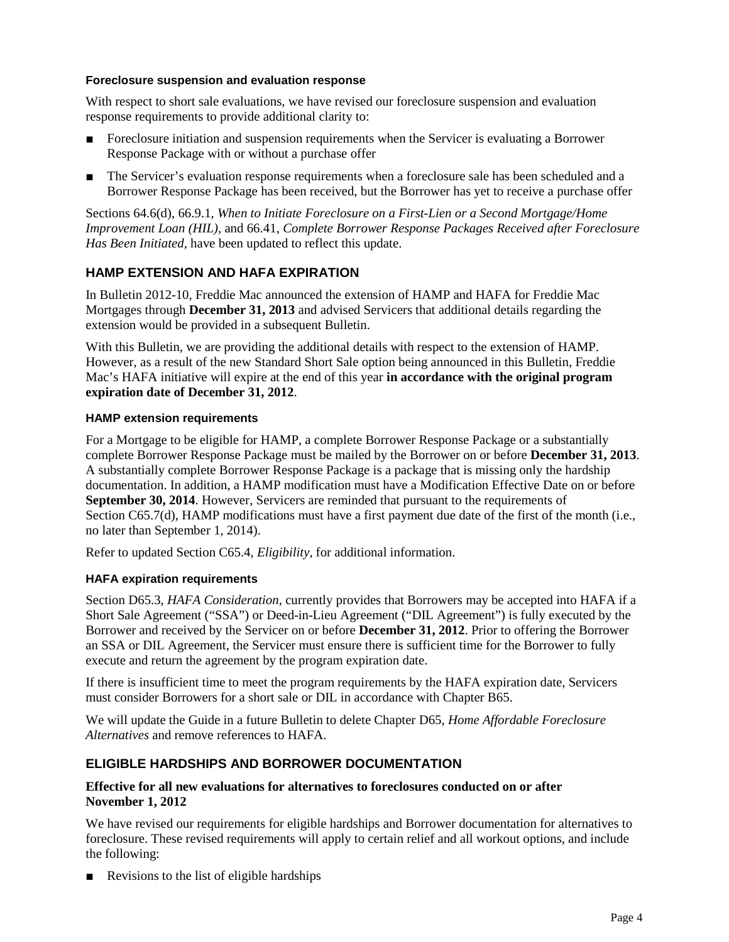#### **Foreclosure suspension and evaluation response**

With respect to short sale evaluations, we have revised our foreclosure suspension and evaluation response requirements to provide additional clarity to:

- Foreclosure initiation and suspension requirements when the Servicer is evaluating a Borrower Response Package with or without a purchase offer
- The Servicer's evaluation response requirements when a foreclosure sale has been scheduled and a Borrower Response Package has been received, but the Borrower has yet to receive a purchase offer

Sections 64.6(d), 66.9.1, *When to Initiate Foreclosure on a First-Lien or a Second Mortgage/Home Improvement Loan (HIL)*, and 66.41, *Complete Borrower Response Packages Received after Foreclosure Has Been Initiated*, have been updated to reflect this update.

# **HAMP EXTENSION AND HAFA EXPIRATION**

In Bulletin 2012-10, Freddie Mac announced the extension of HAMP and HAFA for Freddie Mac Mortgages through **December 31, 2013** and advised Servicers that additional details regarding the extension would be provided in a subsequent Bulletin.

With this Bulletin, we are providing the additional details with respect to the extension of HAMP. However, as a result of the new Standard Short Sale option being announced in this Bulletin, Freddie Mac's HAFA initiative will expire at the end of this year **in accordance with the original program expiration date of December 31, 2012**.

#### **HAMP extension requirements**

For a Mortgage to be eligible for HAMP, a complete Borrower Response Package or a substantially complete Borrower Response Package must be mailed by the Borrower on or before **December 31, 2013**. A substantially complete Borrower Response Package is a package that is missing only the hardship documentation. In addition, a HAMP modification must have a Modification Effective Date on or before **September 30, 2014**. However, Servicers are reminded that pursuant to the requirements of Section C65.7(d), HAMP modifications must have a first payment due date of the first of the month (i.e., no later than September 1, 2014).

Refer to updated Section C65.4, *Eligibility*, for additional information.

#### **HAFA expiration requirements**

Section D65.3, *HAFA Consideration*, currently provides that Borrowers may be accepted into HAFA if a Short Sale Agreement ("SSA") or Deed-in-Lieu Agreement ("DIL Agreement") is fully executed by the Borrower and received by the Servicer on or before **December 31, 2012**. Prior to offering the Borrower an SSA or DIL Agreement, the Servicer must ensure there is sufficient time for the Borrower to fully execute and return the agreement by the program expiration date.

If there is insufficient time to meet the program requirements by the HAFA expiration date, Servicers must consider Borrowers for a short sale or DIL in accordance with Chapter B65.

We will update the Guide in a future Bulletin to delete Chapter D65, *Home Affordable Foreclosure Alternatives* and remove references to HAFA.

## **ELIGIBLE HARDSHIPS AND BORROWER DOCUMENTATION**

### **Effective for all new evaluations for alternatives to foreclosures conducted on or after November 1, 2012**

We have revised our requirements for eligible hardships and Borrower documentation for alternatives to foreclosure. These revised requirements will apply to certain relief and all workout options, and include the following:

■ Revisions to the list of eligible hardships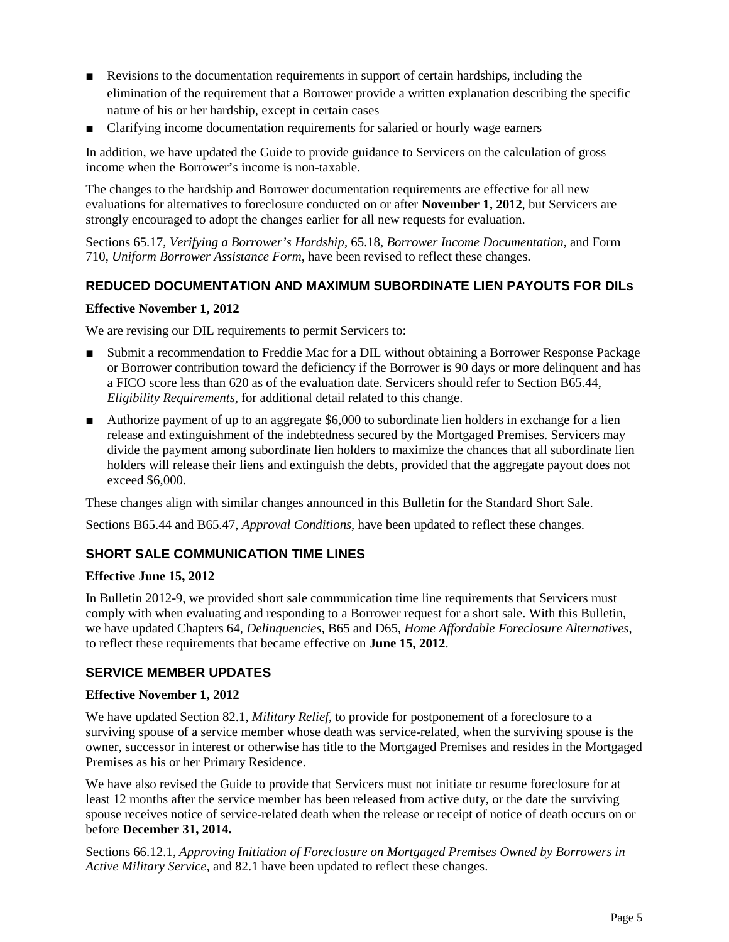- Revisions to the documentation requirements in support of certain hardships, including the elimination of the requirement that a Borrower provide a written explanation describing the specific nature of his or her hardship, except in certain cases
- Clarifying income documentation requirements for salaried or hourly wage earners

In addition, we have updated the Guide to provide guidance to Servicers on the calculation of gross income when the Borrower's income is non-taxable.

The changes to the hardship and Borrower documentation requirements are effective for all new evaluations for alternatives to foreclosure conducted on or after **November 1, 2012**, but Servicers are strongly encouraged to adopt the changes earlier for all new requests for evaluation.

Sections 65.17, *Verifying a Borrower's Hardship*, 65.18, *Borrower Income Documentation*, and Form 710, *Uniform Borrower Assistance Form*, have been revised to reflect these changes.

## **REDUCED DOCUMENTATION AND MAXIMUM SUBORDINATE LIEN PAYOUTS FOR DILs**

#### **Effective November 1, 2012**

We are revising our DIL requirements to permit Servicers to:

- Submit a recommendation to Freddie Mac for a DIL without obtaining a Borrower Response Package or Borrower contribution toward the deficiency if the Borrower is 90 days or more delinquent and has a FICO score less than 620 as of the evaluation date. Servicers should refer to Section B65.44, *Eligibility Requirements*, for additional detail related to this change.
- Authorize payment of up to an aggregate \$6,000 to subordinate lien holders in exchange for a lien release and extinguishment of the indebtedness secured by the Mortgaged Premises. Servicers may divide the payment among subordinate lien holders to maximize the chances that all subordinate lien holders will release their liens and extinguish the debts, provided that the aggregate payout does not exceed \$6,000.

These changes align with similar changes announced in this Bulletin for the Standard Short Sale.

Sections B65.44 and B65.47, *Approval Conditions*, have been updated to reflect these changes.

## **SHORT SALE COMMUNICATION TIME LINES**

#### **Effective June 15, 2012**

In Bulletin 2012-9, we provided short sale communication time line requirements that Servicers must comply with when evaluating and responding to a Borrower request for a short sale. With this Bulletin, we have updated Chapters 64, *Delinquencies*, B65 and D65, *Home Affordable Foreclosure Alternatives*, to reflect these requirements that became effective on **June 15, 2012**.

## **SERVICE MEMBER UPDATES**

#### **Effective November 1, 2012**

We have updated Section 82.1, *Military Relief,* to provide for postponement of a foreclosure to a surviving spouse of a service member whose death was service-related, when the surviving spouse is the owner, successor in interest or otherwise has title to the Mortgaged Premises and resides in the Mortgaged Premises as his or her Primary Residence.

We have also revised the Guide to provide that Servicers must not initiate or resume foreclosure for at least 12 months after the service member has been released from active duty, or the date the surviving spouse receives notice of service-related death when the release or receipt of notice of death occurs on or before **December 31, 2014.** 

Sections 66.12.1, *Approving Initiation of Foreclosure on Mortgaged Premises Owned by Borrowers in Active Military Service*, and 82.1 have been updated to reflect these changes.